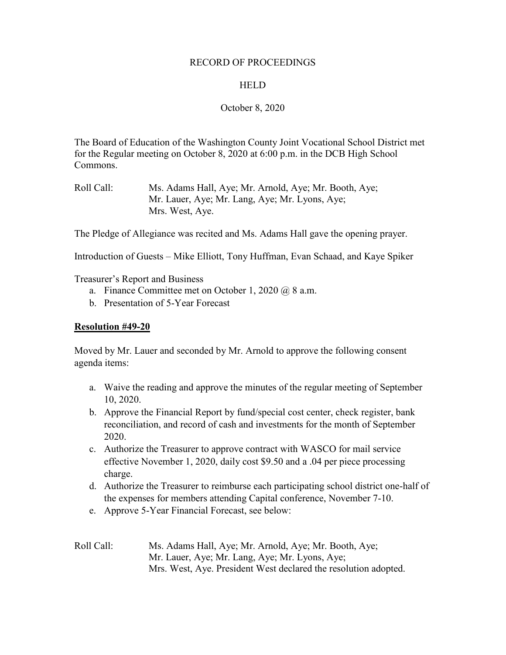# RECORD OF PROCEEDINGS

# **HELD**

## October 8, 2020

The Board of Education of the Washington County Joint Vocational School District met for the Regular meeting on October 8, 2020 at 6:00 p.m. in the DCB High School Commons.

The Pledge of Allegiance was recited and Ms. Adams Hall gave the opening prayer.

Introduction of Guests – Mike Elliott, Tony Huffman, Evan Schaad, and Kaye Spiker

Treasurer's Report and Business

- a. Finance Committee met on October 1, 2020 @ 8 a.m.
- b. Presentation of 5-Year Forecast

### **Resolution #49-20**

Moved by Mr. Lauer and seconded by Mr. Arnold to approve the following consent agenda items:

- a. Waive the reading and approve the minutes of the regular meeting of September 10, 2020.
- b. Approve the Financial Report by fund/special cost center, check register, bank reconciliation, and record of cash and investments for the month of September 2020.
- c. Authorize the Treasurer to approve contract with WASCO for mail service effective November 1, 2020, daily cost \$9.50 and a .04 per piece processing charge.
- d. Authorize the Treasurer to reimburse each participating school district one-half of the expenses for members attending Capital conference, November 7-10.
- e. Approve 5-Year Financial Forecast, see below:
- Roll Call: Ms. Adams Hall, Aye; Mr. Arnold, Aye; Mr. Booth, Aye; Mr. Lauer, Aye; Mr. Lang, Aye; Mr. Lyons, Aye; Mrs. West, Aye. President West declared the resolution adopted.

Roll Call: Ms. Adams Hall, Aye; Mr. Arnold, Aye; Mr. Booth, Aye; Mr. Lauer, Aye; Mr. Lang, Aye; Mr. Lyons, Aye; Mrs. West, Aye.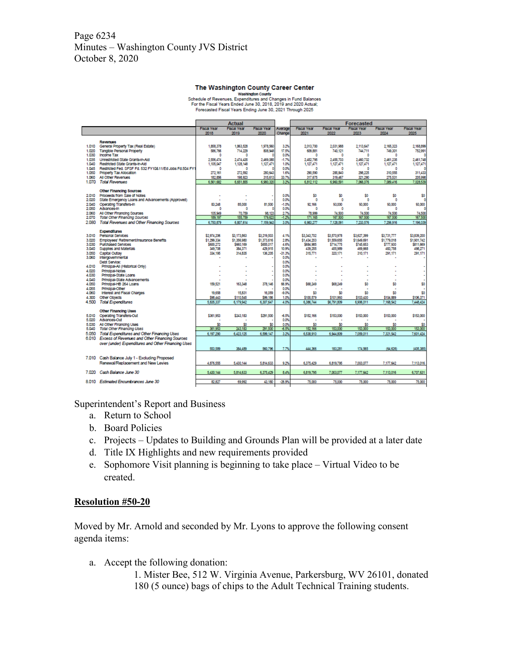# Page 6234 Minutes – Washington County JVS District October 8, 2020

#### The Washington County Career Center

Value of Revenues, Expenditure of National Changes in Fund Balances<br>Schedule of Revenues, Expenditures and Changes in Fund Balances<br>For the Fiscal Years Ended June 30, 2018 and 2020 Actual;<br>Forecasted Fiscal Years Ending J

|                |                                                          |                      | Actual                      |                      |               | Forecasted                                                     |                      |                      |                    |                      |
|----------------|----------------------------------------------------------|----------------------|-----------------------------|----------------------|---------------|----------------------------------------------------------------|----------------------|----------------------|--------------------|----------------------|
|                |                                                          | <b>Fiscal Year</b>   | <b>Fiscal Year</b>          | <b>Fiscal Year</b>   | Average       | <b>Fiscal Year</b><br><b>Fiscal Year</b><br><b>Fiscal Year</b> |                      | <b>Fiscal Year</b>   | <b>Fiscal Year</b> |                      |
|                |                                                          | 2018                 | 2019                        | 2020                 | Change        | 2021                                                           | 2022                 | 2023                 | 2024               | 2025                 |
|                | <b>Revenues</b>                                          |                      |                             |                      |               |                                                                |                      |                      |                    |                      |
| 1.010          | General Property Tax (Real Estate)                       | 1,858,378            | 1,863,528                   | 1,978,560            | 3.2%          | 2,013,700                                                      | 2.031.988            | 2.113.647            | 2,165,323          | 2,168,899            |
| 1.020          | <b>Tangible Personal Property</b>                        | 586,766              | 714.229                     | 808.948              | 17.5%         | 609,881                                                        | 740.121              | 744,711              | 749,301            | 752,991              |
| 1.030          | <b>Income Tax</b>                                        | O                    | ٥                           |                      | 0.0%          | ٥                                                              | ٥                    | ٥                    | O                  |                      |
| 1.035          | Unrestricted State Grants-In-Ald                         | 2556.474             | 2 474 435                   | 2,469,085            | $-1.7%$       | 2.452.795                                                      | 2,455,703            | 2,460.732            | 2,461,235          | 2,461,748            |
| 1.040          | Restricted State Grants-In-Ald                           | 1,105,047            | 1,128,148                   | 1.127.471            | 1.0%          | 1,127,471                                                      | 1,127,471            | 1,127,471            | 1.127,471          | 1,127,471            |
| 1.045          | Restricted Fed. SFSF Fd. 532 FY108 11/Ed Jobs Fd.504 FY1 | n                    | ٥                           |                      | 0.0%          | ٥                                                              | 0                    | ٥                    | n                  |                      |
| 1.050          | Property Tax Allocation                                  | 272.161              | 272,592                     | 280.643              | 1.6%          | 290,590                                                        | 285,840              | 298.225              | 310,555            | 311,433              |
| 1.060<br>1.070 | All Other Revenues<br><b>Total Revenues</b>              | 182,856<br>6,561,682 | 198,923<br>6,651,855        | 315,613<br>6,980,320 | 33.7%<br>3.2% | 317,675<br>6,812,112                                           | 319,467<br>6,960,591 | 321,290<br>7,066,076 | 275,531            | 205,998<br>7,028,539 |
|                |                                                          |                      |                             |                      |               |                                                                |                      |                      | 7,089,416          |                      |
|                | <b>Other Financing Sources</b>                           |                      |                             |                      |               |                                                                |                      |                      |                    |                      |
| 2.010          | Proceeds from Sale of Notes                              |                      |                             |                      | 0.0%          | \$0                                                            | \$0                  | \$0                  | \$0                | \$0                  |
| 2.020          | State Emergency Loans and Advancements (Approved)        |                      |                             |                      | 0.0%          | ٥                                                              | o                    | ٥                    | O                  | ٥                    |
| 2,040          | Operating Transfers-In                                   | 83,248               | 85,000                      | 81,500               | $-1.0%$       | 92,166                                                         | 93,000               | 93,000               | 93.000             | 93,000               |
| 2.050          | Advances-In                                              | O                    | ۰                           |                      | 0.0%          | ٥                                                              | ٥                    | ۰                    | O                  |                      |
| 2.050          | All Other Financing Sources                              | 105,949              | 70,759                      | 98,123               | 27%           | 78.999                                                         | 74,500               | 74.500               | 74,500             | 74,500               |
| 2.070          | <b>Total Other Financing Sources</b>                     | 189, 197             | 155,759                     | 179,623              | $-128$        | 171,165                                                        | 167,500              | 167,500              | 167,500            | 167,500              |
| 2.080          | Total Revenues and Other Financing Sources               | 6,750,879            | 6,807,614                   | 7.159.943            | 3.0%          | 6.963.277                                                      | 7.128.091            | 7.233.576            | 7,256,916          | 7.196.039            |
|                | <b>Expenditures</b>                                      |                      |                             |                      |               |                                                                |                      |                      |                    |                      |
| 3.010          | Personal Services                                        | \$2,974,206          | \$3,173,863                 | \$3,219,503          | 4.1%          | \$3,343,702                                                    | \$3,570,978          | \$3,627,399          | \$3,731,777        | \$3,839,200          |
| 3.020          | Employees' Retrement/Insurance Benefits                  | \$1,299,334          | \$1,356,980                 | \$1,373,616          | 2.8%          | \$1,434,203                                                    | \$1,559,655          | \$1,649,691          | \$1,779,018        | \$1,901,742          |
| 3.030          | <b>Purchased Services</b>                                | \$600.272            | \$660,169                   | \$655,017            | 4.6%          | \$684,985                                                      | \$714,775            | \$745,653            | \$777.930          | \$811,669            |
| 3.040          | Supplies and Materials                                   | 349,708              | 384,371                     | 429,915              | 10.9%         | 439,255                                                        | 455,989              | 469,668              | 483,758            | 498.271              |
| 3.050          | Capital Outlay                                           | 334,195              | 314,835                     | 136,205              | $-31.3%$      | 315,771                                                        | 320.171              | 310.171              | 291.171            | 291.171              |
| 3,060          | Intergovernmental                                        |                      |                             |                      | 0.0%          |                                                                |                      |                      |                    |                      |
|                | Debt Service:                                            |                      |                             |                      | 0.0%          |                                                                |                      |                      |                    |                      |
| 4,010          | Principal-All (Historical Only)                          |                      |                             |                      | 0.0%<br>0.0%  |                                                                |                      |                      |                    |                      |
| 4,020<br>4.030 | Principal-Notes<br>Principal-State Loans                 |                      |                             |                      | 0.0%          |                                                                |                      |                      |                    |                      |
| 4,040          | Principal-State Advancements                             |                      |                             |                      | 0.0%          |                                                                |                      |                      |                    |                      |
| 4,050          | Principal-HB 264 Loans                                   | 159,521              | 163,348                     | 378,146              | 66.9%         | \$68,249                                                       | \$68,249             | \$0                  | \$0                | \$0                  |
| 4.055          | Principal-Other                                          |                      |                             |                      | 0.0%          |                                                                |                      |                      |                    |                      |
| 4,060          | Interest and Fiscal Charges                              | 19,658               | 15,831                      | 16,059               | -9.0%         | \$0                                                            | \$0                  | \$0                  | \$0                | \$0                  |
| 4,300          | Other Objects                                            | \$98,443             | \$110,545                   | \$99,186             | 1.0%          | \$100,579                                                      | \$101,993            | \$103,430            | \$104,889          | \$105,371            |
| 4.500          | <b>Total Expenditures</b>                                | 5,835,337            | 6,179,942                   | 6,307,647            | 4.0%          | 6,386,744                                                      | \$6,791,809          | 6,905,011            | 7,168,542          | 7,448,424            |
|                |                                                          |                      |                             |                      |               |                                                                |                      |                      |                    |                      |
|                | <b>Other Financing Uses</b>                              |                      |                             |                      |               |                                                                | \$153,000            |                      |                    | \$153,000            |
| 5.010<br>5,020 | <b>Operating Transfers-Out</b><br>Advances-Out           | \$361,953            | \$243,183<br>$\overline{a}$ | \$291,500            | -6.5%<br>0.0% | \$152,166<br>٠                                                 |                      | \$153,000            | \$153,000<br>٠     |                      |
| 5,030          | All Other Financing Uses                                 | \$0                  | \$0                         | \$0                  | 0.0%          | \$0                                                            | \$0                  | \$0                  | \$0                | \$0                  |
| 5.040          | <b>Total Other Financing Uses</b>                        | 361.953              | 243.183                     | 291,500              | -6.5%         | 152,166                                                        | 153,000              | 153,000              | 153,000            | 153,000              |
| 5.050          | Total Expenditures and Other Financing Uses              | 6,197,290            | 6,423,125                   | 6,599,147            | 3.2%          | 6,538,910                                                      | 6,944,809            | 7,059,011            | 7,321,542          | 7,601,424            |
|                | 6.010 Excess of Revenues and Other Financing Sources     |                      |                             |                      |               |                                                                |                      |                      |                    |                      |
|                | over (under) Expenditures and Other Financing Uses       |                      |                             |                      |               |                                                                |                      |                      |                    |                      |
|                |                                                          | 553,589              | 384,489                     | 560,795              | 7.7%          | 444.366                                                        | 183,281              | 174,555              | (64, 626)          | (405, 385)           |
|                |                                                          |                      |                             |                      |               |                                                                |                      |                      |                    |                      |
|                | 7.010 Cash Balance July 1 - Excluding Proposed           |                      |                             |                      |               |                                                                |                      |                      |                    |                      |
|                | Renewal/Replacement and New Levies                       | 4,876,555            | 5,430,144                   | 5,814,633            | 9.2%          | 6,375,429                                                      | 6,819,795            | 7,003,077            | 7,177,642          | 7,113,016            |
|                |                                                          |                      |                             |                      |               |                                                                |                      |                      |                    |                      |
|                | 7.020 Cash Balance June 30                               | 5.430.144            | 5,814,633                   | 6,375,429            | 8.4%          | 6,819,795                                                      | 7,003,077            | 7,177,642            | 7,113,016          | 6,707,631            |
|                |                                                          |                      |                             |                      |               |                                                                |                      |                      |                    |                      |
|                | 8.010 Estimated Encumbrances June 30                     | 82.827               | 69.992                      | 43.180               | $-26.9%$      | 75,000                                                         | 75,000               | 75,000               | 75,000             | 75,000               |
|                |                                                          |                      |                             |                      |               |                                                                |                      |                      |                    |                      |

Superintendent's Report and Business

- a. Return to School
- b. Board Policies
- c. Projects Updates to Building and Grounds Plan will be provided at a later date
- d. Title IX Highlights and new requirements provided
- e. Sophomore Visit planning is beginning to take place Virtual Video to be created.

### **Resolution #50-20**

Moved by Mr. Arnold and seconded by Mr. Lyons to approve the following consent agenda items:

a. Accept the following donation:

1. Mister Bee, 512 W. Virginia Avenue, Parkersburg, WV 26101, donated 180 (5 ounce) bags of chips to the Adult Technical Training students.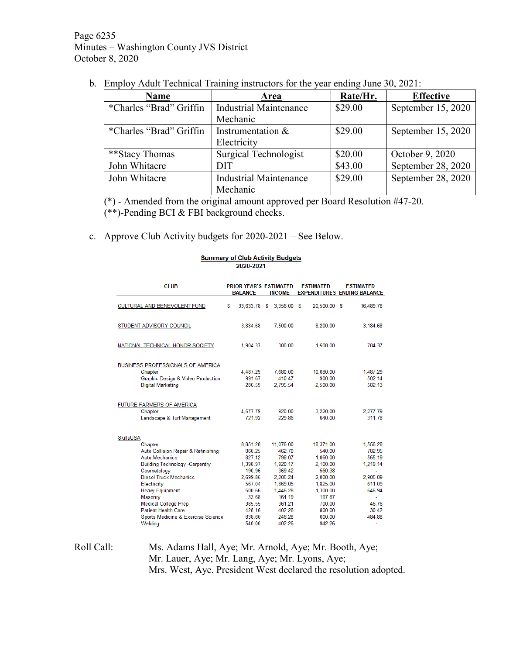Page 6235 Minutes – Washington County JVS District October 8, 2020

b. Employ Adult Technical Training instructors for the year ending June 30, 2021:

| <b>Name</b>             | Area                          | Rate/Hr. | <b>Effective</b>   |  |
|-------------------------|-------------------------------|----------|--------------------|--|
| *Charles "Brad" Griffin | <b>Industrial Maintenance</b> | \$29.00  | September 15, 2020 |  |
|                         | Mechanic                      |          |                    |  |
| *Charles "Brad" Griffin | Instrumentation $\&$          | \$29.00  | September 15, 2020 |  |
|                         | Electricity                   |          |                    |  |
| **Stacy Thomas          | Surgical Technologist         | \$20.00  | October 9, 2020    |  |
| John Whitacre           | DIT                           | \$43.00  | September 28, 2020 |  |
| John Whitacre           | <b>Industrial Maintenance</b> | \$29.00  | September 28, 2020 |  |
|                         | Mechanic                      |          |                    |  |

(\*) - Amended from the original amount approved per Board Resolution #47-20.

(\*\*)-Pending BCI & FBI background checks.

c. Approve Club Activity budgets for 2020-2021 – See Below.

#### **Summary of Club Activity Budgets** 2020-2021

| <b>CLUB</b>                                                                                                                                                                                                                                                                                                                                     |   | <b>PRIOR YEAR'S ESTIMATED</b><br><b>BALANCE</b>                                                                                     | <b>INCOME</b>                                                                                                                            | <b>ESTIMATED</b><br><b>EXPENDITURES ENDING BALANCE</b>                                                                                      | <b>ESTIMATED</b>                                                                                     |
|-------------------------------------------------------------------------------------------------------------------------------------------------------------------------------------------------------------------------------------------------------------------------------------------------------------------------------------------------|---|-------------------------------------------------------------------------------------------------------------------------------------|------------------------------------------------------------------------------------------------------------------------------------------|---------------------------------------------------------------------------------------------------------------------------------------------|------------------------------------------------------------------------------------------------------|
| <b>CULTURAL AND BENEVOLENT FUND</b>                                                                                                                                                                                                                                                                                                             | S | 33.633.78 \$                                                                                                                        | 3.356.00 \$                                                                                                                              | 20,500.00 \$                                                                                                                                | 16,489.78                                                                                            |
| STUDENT ADVISORY COUNCIL                                                                                                                                                                                                                                                                                                                        |   | 3.884.68                                                                                                                            | 7.500.00                                                                                                                                 | 8.200.00                                                                                                                                    | 3,184.68                                                                                             |
| NATIONAL TECHNICAL HONOR SOCIETY                                                                                                                                                                                                                                                                                                                |   | 1.904.37                                                                                                                            | 300 00                                                                                                                                   | 1.500.00                                                                                                                                    | 704.37                                                                                               |
| BUSINESS PROFESSIONALS OF AMERICA<br>Chapter<br>Graphic Design & Video Production<br>Digital Marketing                                                                                                                                                                                                                                          |   | 4.487.29<br>991.67<br>286.59                                                                                                        | 7.680.00<br>410.47<br>2.795.54                                                                                                           | 10.680.00<br>900.00<br>2.500.00                                                                                                             | 1.487.29<br>502.14<br>582.13                                                                         |
| FUTURE FARMERS OF AMERICA<br>Chapter<br>Landscape & Turf Management                                                                                                                                                                                                                                                                             |   | 4.577.79<br>721.92                                                                                                                  | 920.00<br>229.86                                                                                                                         | 3.220.00<br>640.00                                                                                                                          | 2.277.79<br>311.78                                                                                   |
| <b>SkillsUSA</b><br>Chapter<br>Auto Collision Repair & Refinishing<br>Auto Mechanics<br><b>Building Technology -Carpentry</b><br>Cosmetology<br><b>Diesel Truck Mechanics</b><br>Electricity<br><b>Heavy Equipment</b><br>Masonry<br><b>Medical College Prep</b><br><b>Patient Health Care</b><br>Sports Medicine & Exercise Science<br>Welding |   | 8,851.28<br>860 25<br>827.12<br>1.398.97<br>190.96<br>2.699.85<br>567.04<br>500.66<br>33.68<br>385.55<br>428.16<br>838.60<br>540.00 | 11.076.00<br>46270<br>798.07<br>1.920.17<br>369.42<br>2.205.24<br>1,869.05<br>1.446.28<br>164.19<br>361.21<br>402.26<br>246.28<br>402.26 | 18.371.00<br>540 00<br>1.060.00<br>2.100.00<br>560 38<br>2,000.00<br>1,825.00<br>1.300.00<br>197.87<br>700.00<br>800.00<br>600.00<br>942.26 | 1,556.28<br>782 95<br>565.19<br>1.219.14<br>2.905.09<br>611.09<br>646.94<br>46.76<br>30.42<br>484.88 |

Roll Call: Ms. Adams Hall, Aye; Mr. Arnold, Aye; Mr. Booth, Aye; Mr. Lauer, Aye; Mr. Lang, Aye; Mr. Lyons, Aye; Mrs. West, Aye. President West declared the resolution adopted.